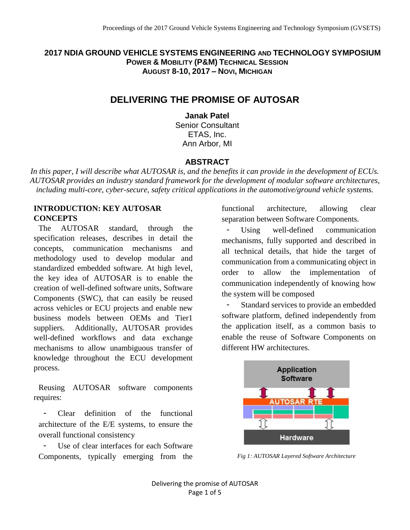**2017 NDIA GROUND VEHICLE SYSTEMS ENGINEERING AND TECHNOLOGY SYMPOSIUM POWER & MOBILITY (P&M) TECHNICAL SESSION AUGUST 8-10, 2017 – NOVI, MICHIGAN**

# **DELIVERING THE PROMISE OF AUTOSAR**

**Janak Patel**  Senior Consultant ETAS, Inc. Ann Arbor, MI

### **ABSTRACT**

*In this paper, I will describe what AUTOSAR is, and the benefits it can provide in the development of ECUs. AUTOSAR provides an industry standard framework for the development of modular software architectures, including multi-core, cyber-secure, safety critical applications in the automotive/ground vehicle systems.*

# **INTRODUCTION: KEY AUTOSAR CONCEPTS**

The AUTOSAR standard, through the specification releases, describes in detail the concepts, communication mechanisms and methodology used to develop modular and standardized embedded software. At high level, the key idea of AUTOSAR is to enable the creation of well-defined software units, Software Components (SWC), that can easily be reused across vehicles or ECU projects and enable new business models between OEMs and Tier1 suppliers. Additionally, AUTOSAR provides well-defined workflows and data exchange mechanisms to allow unambiguous transfer of knowledge throughout the ECU development process.

Reusing AUTOSAR software components requires:

Clear definition of the functional architecture of the E/E systems, to ensure the overall functional consistency

Use of clear interfaces for each Software Components, typically emerging from the

functional architecture, allowing clear separation between Software Components.

- Using well-defined communication mechanisms, fully supported and described in all technical details, that hide the target of communication from a communicating object in order to allow the implementation of communication independently of knowing how the system will be composed

Standard services to provide an embedded software platform, defined independently from the application itself, as a common basis to enable the reuse of Software Components on different HW architectures.



*Fig 1: AUTOSAR Layered Software Architecture*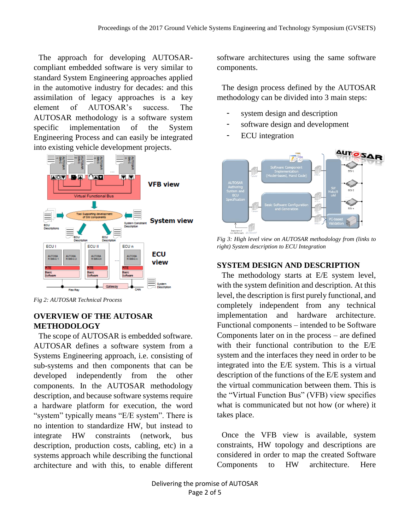The approach for developing AUTOSARcompliant embedded software is very similar to standard System Engineering approaches applied in the automotive industry for decades: and this assimilation of legacy approaches is a key element of AUTOSAR's success. The AUTOSAR methodology is a software system specific implementation of the System Engineering Process and can easily be integrated into existing vehicle development projects.



*Fig 2: AUTOSAR Technical Process*

## **OVERVIEW OF THE AUTOSAR METHODOLOGY**

The scope of AUTOSAR is embedded software. AUTOSAR defines a software system from a Systems Engineering approach, i.e. consisting of sub-systems and then components that can be developed independently from the other components. In the AUTOSAR methodology description, and because software systems require a hardware platform for execution, the word "system" typically means "E/E system". There is no intention to standardize HW, but instead to integrate HW constraints (network, bus description, production costs, cabling, etc) in a systems approach while describing the functional architecture and with this, to enable different

software architectures using the same software components.

The design process defined by the AUTOSAR methodology can be divided into 3 main steps:

- system design and description
- software design and development
- ECU integration



*Fig 3: High level view on AUTOSAR methodology from (links to right) System description to ECU Integration*

### **SYSTEM DESIGN AND DESCRIPTION**

The methodology starts at E/E system level, with the system definition and description. At this level, the description is first purely functional, and completely independent from any technical implementation and hardware architecture. Functional components – intended to be Software Components later on in the process – are defined with their functional contribution to the E/E system and the interfaces they need in order to be integrated into the E/E system. This is a virtual description of the functions of the E/E system and the virtual communication between them. This is the "Virtual Function Bus" (VFB) view specifies what is communicated but not how (or where) it takes place.

Once the VFB view is available, system constraints, HW topology and descriptions are considered in order to map the created Software Components to HW architecture. Here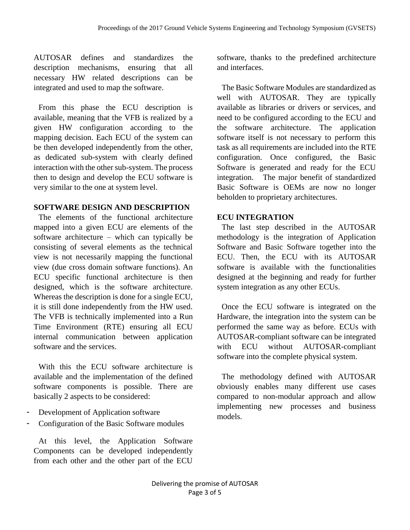AUTOSAR defines and standardizes the description mechanisms, ensuring that all necessary HW related descriptions can be integrated and used to map the software.

From this phase the ECU description is available, meaning that the VFB is realized by a given HW configuration according to the mapping decision. Each ECU of the system can be then developed independently from the other, as dedicated sub-system with clearly defined interaction with the other sub-system. The process then to design and develop the ECU software is very similar to the one at system level.

#### **SOFTWARE DESIGN AND DESCRIPTION**

The elements of the functional architecture mapped into a given ECU are elements of the software architecture – which can typically be consisting of several elements as the technical view is not necessarily mapping the functional view (due cross domain software functions). An ECU specific functional architecture is then designed, which is the software architecture. Whereas the description is done for a single ECU, it is still done independently from the HW used. The VFB is technically implemented into a Run Time Environment (RTE) ensuring all ECU internal communication between application software and the services.

With this the ECU software architecture is available and the implementation of the defined software components is possible. There are basically 2 aspects to be considered:

- Development of Application software
- Configuration of the Basic Software modules

At this level, the Application Software Components can be developed independently from each other and the other part of the ECU software, thanks to the predefined architecture and interfaces.

The Basic Software Modules are standardized as well with AUTOSAR. They are typically available as libraries or drivers or services, and need to be configured according to the ECU and the software architecture. The application software itself is not necessary to perform this task as all requirements are included into the RTE configuration. Once configured, the Basic Software is generated and ready for the ECU integration. The major benefit of standardized Basic Software is OEMs are now no longer beholden to proprietary architectures.

# **ECU INTEGRATION**

The last step described in the AUTOSAR methodology is the integration of Application Software and Basic Software together into the ECU. Then, the ECU with its AUTOSAR software is available with the functionalities designed at the beginning and ready for further system integration as any other ECUs.

Once the ECU software is integrated on the Hardware, the integration into the system can be performed the same way as before. ECUs with AUTOSAR-compliant software can be integrated with ECU without AUTOSAR-compliant software into the complete physical system.

The methodology defined with AUTOSAR obviously enables many different use cases compared to non-modular approach and allow implementing new processes and business models.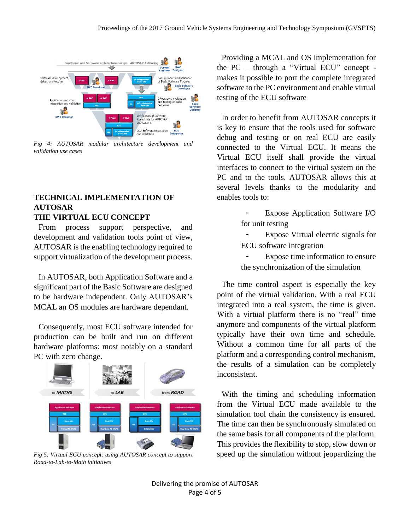

*Fig 4: AUTOSAR modular architecture development and validation use cases*

#### **TECHNICAL IMPLEMENTATION OF AUTOSAR THE VIRTUAL ECU CONCEPT**

From process support perspective, and development and validation tools point of view, AUTOSAR is the enabling technology required to support virtualization of the development process.

In AUTOSAR, both Application Software and a significant part of the Basic Software are designed to be hardware independent. Only AUTOSAR's MCAL an OS modules are hardware dependant.

Consequently, most ECU software intended for production can be built and run on different hardware platforms: most notably on a standard PC with zero change.



*Fig 5: Virtual ECU concept: using AUTOSAR concept to support Road-to-Lab-to-Math initiatives*

Providing a MCAL and OS implementation for the PC – through a "Virtual ECU" concept makes it possible to port the complete integrated software to the PC environment and enable virtual testing of the ECU software

In order to benefit from AUTOSAR concepts it is key to ensure that the tools used for software debug and testing or on real ECU are easily connected to the Virtual ECU. It means the Virtual ECU itself shall provide the virtual interfaces to connect to the virtual system on the PC and to the tools. AUTOSAR allows this at several levels thanks to the modularity and enables tools to:

> Expose Application Software I/O for unit testing

> - Expose Virtual electric signals for ECU software integration

> Expose time information to ensure the synchronization of the simulation

The time control aspect is especially the key point of the virtual validation. With a real ECU integrated into a real system, the time is given. With a virtual platform there is no "real" time anymore and components of the virtual platform typically have their own time and schedule. Without a common time for all parts of the platform and a corresponding control mechanism, the results of a simulation can be completely inconsistent.

With the timing and scheduling information from the Virtual ECU made available to the simulation tool chain the consistency is ensured. The time can then be synchronously simulated on the same basis for all components of the platform. This provides the flexibility to stop, slow down or speed up the simulation without jeopardizing the